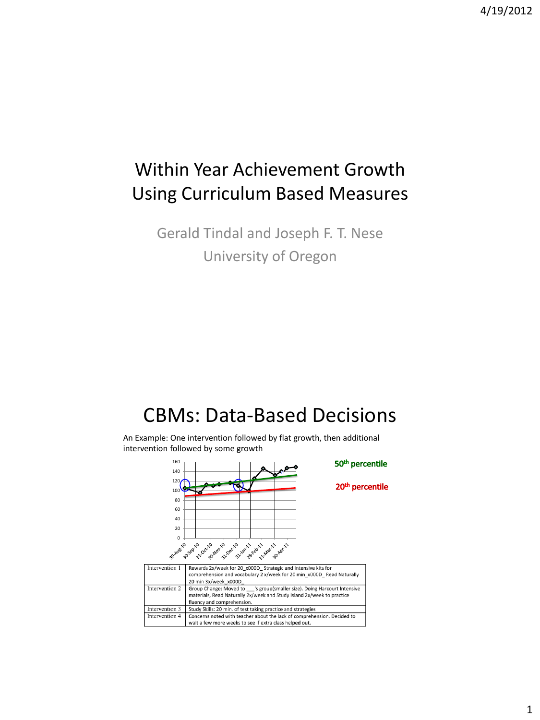## Within Year Achievement Growth Using Curriculum Based Measures

Gerald Tindal and Joseph F. T. Nese University of Oregon

# CBMs: Data-Based Decisions

An Example: One intervention followed by flat growth, then additional intervention followed by some growth

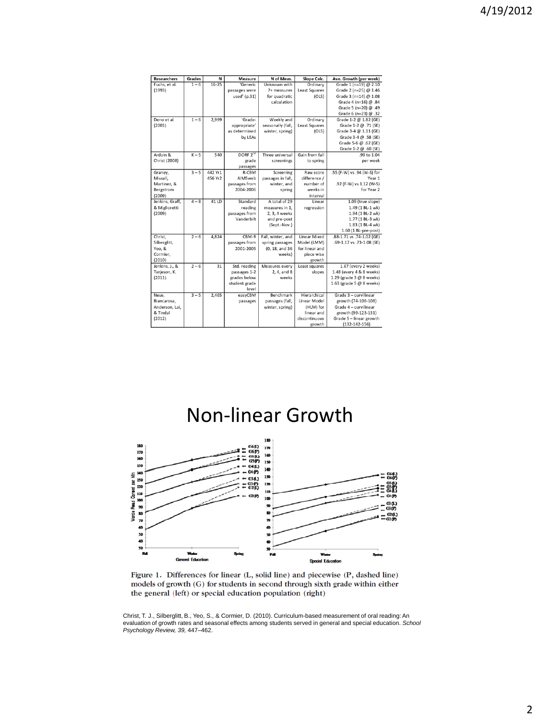| <b>Researchers</b> | <b>Grades</b> | N         | <b>Measure</b>                 | N of Meas.        | Slope Calc.          | Ave. Growth (per week)                     |
|--------------------|---------------|-----------|--------------------------------|-------------------|----------------------|--------------------------------------------|
| Fuchs, et al.      | $1 - 6$       | $16 - 25$ | 'Generic                       | Unknown with      | Ordinary             | Grade 1 (n=19) @ 2.10                      |
| (1993)             |               |           | passages were                  | 7+ measures       | <b>Least Squares</b> | Grade 2 (n=25) @ 1.46                      |
|                    |               |           | used' (p.31)                   | for quadratic     | (OLS)                | Grade 3 (n=14) @ 1.08                      |
|                    |               |           |                                | calculation       |                      | Grade 4 (n=16) @ .84                       |
|                    |               |           |                                |                   |                      | Grade 5 (n=20) @ .49                       |
|                    |               |           |                                |                   |                      | Grade 6 (n=23) $@.32$                      |
| Deno et al.        | $1 - 6$       | 2,999     | 'Grade-                        | Weekly and        | Ordinary             | Grade 1-2 @ 1.82 (GE)                      |
| (2001)             |               |           | appropriate'                   | seasonally (fall, | <b>Least Squares</b> | Grade 1-2 @ .71 (SE)                       |
|                    |               |           | as determined                  | winter, spring)   | (OLS)                | Grade 3-4 @ 1.11 (GE)                      |
|                    |               |           | by LEAs                        |                   |                      | Grade 3-4 @ .58 (SE)                       |
|                    |               |           |                                |                   |                      | Grade 5-6 @ .62 (GE)                       |
|                    |               |           |                                |                   |                      | Grade 1-2 @ .60 (SE)                       |
| Ardoin &           | $K - 5$       | 540       | DORF <sub>2<sup>nd</sup></sub> | Three universal   | Gain from fall       | .99 to 1.04                                |
| Christ (2008)      |               |           | grade                          | screenings        | to spring            | per week                                   |
|                    |               |           | passages                       |                   |                      |                                            |
| Graney,            | $3 - 5$       | 442 Yr1   | R-CBM                          | Screening         | Raw score            | .55 (F-W) vs .94 (W-S) for                 |
| Missall,           |               | 456 Yr2   | AIMSweb                        | passages in fall, | difference /         | Year 1                                     |
| Martinez, &        |               |           | passages from                  | winter, and       | number of            | .92 (F-W) vs 1.12 (W-S)                    |
| Bergstrom          |               |           | 2004-2006                      | spring            | weeks in             | for Year 2                                 |
| (2009)             |               |           |                                |                   | interval             |                                            |
| Jenkins, Graff,    | $4 - 8$       | 41 LD     | Standard                       | A total of 29     | Linear               | 1.09 (true slope)                          |
| & Miglioretti      |               |           | reading                        | measures in 1.    | regression           | 1.49 (1 BL-1 wk)                           |
| (2009)             |               |           | passages from                  | 2, 3, 4 weeks     |                      | 1.94 (1 BL-2 wk)                           |
|                    |               |           | Vanderbilt                     | and pre-post      |                      | 1.77 (1 BL-3 wk)                           |
|                    |               |           |                                | (Sept.-Nov.)      |                      | 1.83 (1 BL-4 wk)                           |
|                    |               |           |                                |                   |                      | 1.60 (1 BL-pre-post)                       |
| Christ.            | $2 - 6$       | 4.824     | CBM-R                          | Fall, winter, and | <b>Linear Mixed</b>  | .88-1.71 vs .74-1.02 (GE)                  |
| Silberglitt,       |               |           | passages from                  | spring passages   | Model (LMM)          | .69-1.17 vs .73-1.08 (SE)                  |
| Yeo, &             |               |           | 2001-2005                      | (0, 18, and 36    | for linear and       |                                            |
| Cormier,           |               |           |                                | weeks)            | piece wise           |                                            |
| (2010)             |               |           |                                |                   | growth               |                                            |
| Jenkins, J., &     | $2 - 6$       | 31        | Std. reading                   | Measures every    | Least squares        | 1.67 (every 2 weeks)                       |
| Terjeson, K.       |               |           | passages 1-2                   | 2.4. and 8        | slopes               | 1.48 (every 4 & 8 weeks)                   |
| (2011).            |               |           | grades below                   | weeks             |                      | 1.29 (grade 3 @ 8 weeks)                   |
|                    |               |           | student grade                  |                   |                      | 1.63 (grade 5 @ 8 weeks)                   |
|                    |               |           | evel                           |                   |                      |                                            |
| Nese.              | $3 - 5$       | 2.465     | easyCBM                        | Benchmark         | Hierarchical         | Grade 3 - curvilinear                      |
| Biancarosa.        |               |           | passages                       | passages (fall,   | Linear Model         | growth (74-106-108)                        |
|                    |               |           |                                | winter, spring)   | (HLM) for            | Grade 4 - curvilinear                      |
| Anderson, Lai,     |               |           |                                |                   |                      |                                            |
| & Tindal           |               |           |                                |                   | linear and           | growth (99-123-131)                        |
| (2012)             |               |           |                                |                   | discontinuous        | Grade 5 - linear growth<br>$(132-142-156)$ |

Non-linear Growth



Figure 1. Differences for linear (L, solid line) and piecewise (P, dashed line) models of growth (G) for students in second through sixth grade within either the general (left) or special education population (right)

Christ, T. J., Silberglitt, B., Yeo, S., & Cormier, D. (2010). Curriculum-based measurement of oral reading: An evaluation of growth rates and seasonal effects among students served in general and special education. *School Psychology Review, 39,* 447–462.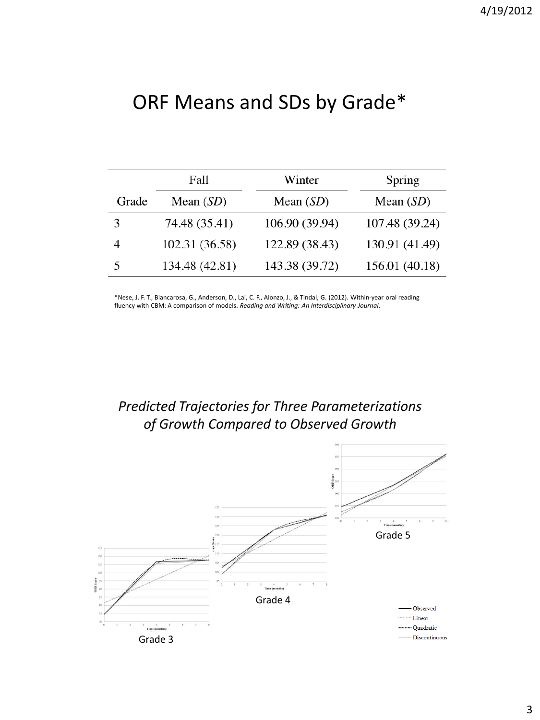# ORF Means and SDs by Grade\*

|       | Fall           | Winter         | Spring         |
|-------|----------------|----------------|----------------|
| Grade | Mean $(SD)$    | Mean $(SD)$    | Mean $(SD)$    |
| 3     | 74.48 (35.41)  | 106.90 (39.94) | 107.48 (39.24) |
|       | 102.31 (36.58) | 122.89 (38.43) | 130.91 (41.49) |
| 5     | 134.48 (42.81) | 143.38 (39.72) | 156.01 (40.18) |

\*Nese, J. F. T., Biancarosa, G., Anderson, D., Lai, C. F., Alonzo, J., & Tindal, G. (2012). Within-year oral reading fluency with CBM: A comparison of models. *Reading and Writing: An Interdisciplinary Journal*.

### *Predicted Trajectories for Three Parameterizations of Growth Compared to Observed Growth*

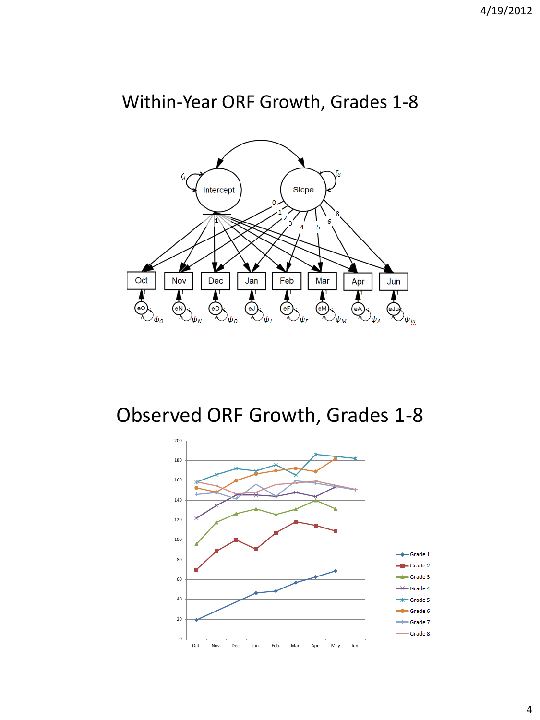## Within-Year ORF Growth, Grades 1-8



Observed ORF Growth, Grades 1-8

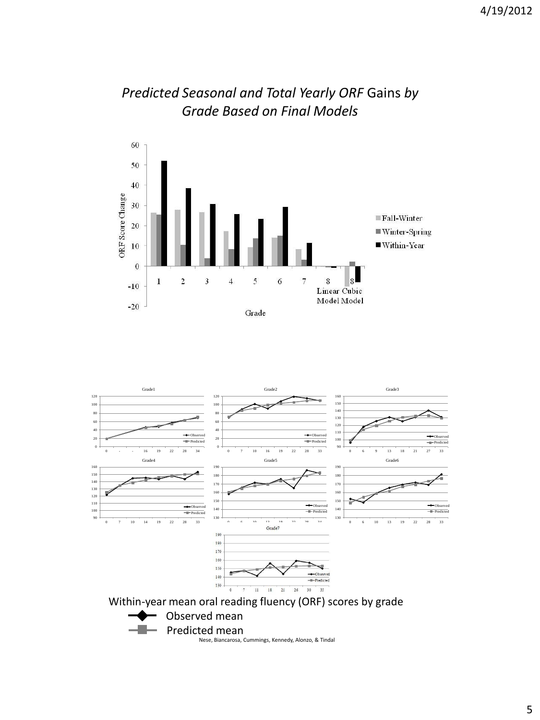

### *Predicted Seasonal and Total Yearly ORF* Gains *by Grade Based on Final Models*

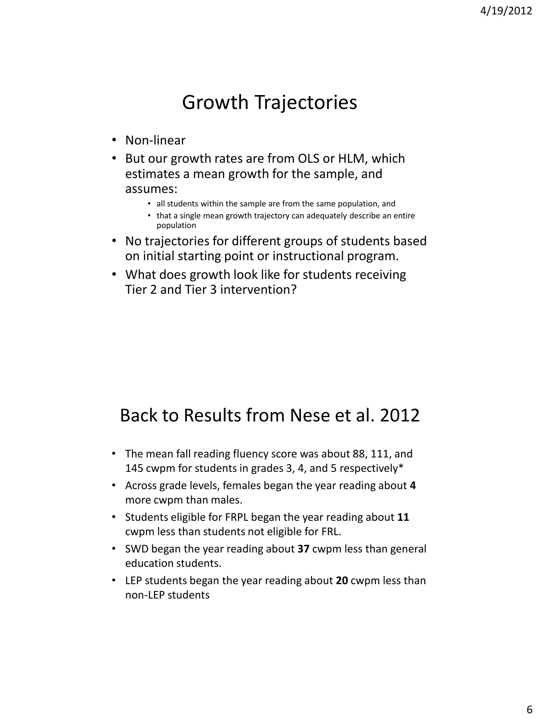# Growth Trajectories

- Non-linear
- But our growth rates are from OLS or HLM, which estimates a mean growth for the sample, and assumes:
	- all students within the sample are from the same population, and
	- that a single mean growth trajectory can adequately describe an entire population
- No trajectories for different groups of students based on initial starting point or instructional program.
- What does growth look like for students receiving Tier 2 and Tier 3 intervention?

## Back to Results from Nese et al. 2012

- The mean fall reading fluency score was about 88, 111, and 145 cwpm for students in grades 3, 4, and 5 respectively\*
- Across grade levels, females began the year reading about **4**  more cwpm than males.
- Students eligible for FRPL began the year reading about **11** cwpm less than students not eligible for FRL.
- SWD began the year reading about **37** cwpm less than general education students.
- LEP students began the year reading about **20** cwpm less than non-LEP students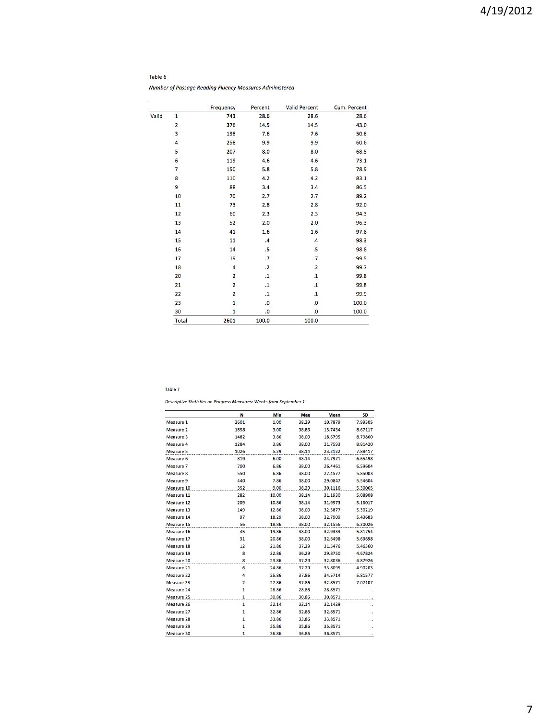### 4/19/2012

#### Table 6

Number of Passage Reading Fluency Measures Administered

|       |                         | <b>Frequency</b> | Percent         | <b>Valid Percent</b> | Cum. Percent |
|-------|-------------------------|------------------|-----------------|----------------------|--------------|
| Valid | $\mathbf{1}$            | 743              | 28.6            | 28.6                 | 28.6         |
|       | $\overline{\mathbf{2}}$ | 376              | 14.5            | 14.5                 | 43.0         |
|       | 3                       | 198              | 7.6             | 7.6                  | 50.6         |
|       | 4                       | 258              | 9.9             | 9.9                  | 60.6         |
|       | 5                       | 207              | 8.0             | 8.0                  | 68.5         |
|       | 6                       | 119              | 4.6             | 4.6                  | 73.1         |
|       | $\overline{7}$          | 150              | 5.8             | 5.8                  | 78.9         |
|       | 8                       | 110              | 4.2             | 4.2                  | 83.1         |
|       | 9                       | 88               | 3.4             | 3.4                  | 86.5         |
|       | 10                      | 70               | 2.7             | 2.7                  | 89.2         |
|       | 11                      | 73               | 2.8             | 2.8                  | 92.0         |
|       | 12                      | 60               | 2.3             | 2.3                  | 94.3         |
|       | 13                      | 52               | 2.0             | 2.0                  | 96.3         |
|       | 14                      | 41               | 1.6             | 1.6                  | 97.8         |
|       | 15                      | 11               | $\overline{.4}$ | $\mathcal{A}$        | 98.3         |
|       | 16                      | 14               | .5              | .5                   | 98.8         |
|       | 17                      | 19               | $\cdot$         | $\cdot$              | 99.5         |
|       | 18                      | 4                | $\cdot$ .2      | $\overline{2}$       | 99.7         |
|       | 20                      | $\overline{2}$   | $\cdot$ 1       | $\cdot$ 1            | 99.8         |
|       | 21                      | $\overline{2}$   | $\cdot$ 1       | $\cdot$ 1            | 99.8         |
|       | 22                      | $\overline{2}$   | $\cdot$ 1       | $\mathbf{.1}$        | 99.9         |
|       | 23                      | $\mathbf{1}$     | .0              | .0                   | 100.0        |
|       | 30                      | 1                | .0              | $\mathbf{0}$         | 100.0        |
|       | <b>Total</b>            | 2601             | 100.0           | 100.0                |              |

#### Table 7

Descriptive Statistics on Progress Measures: Weeks from September 1

|                   | N            | Min   | Max   | <b>Mean</b> | SD      |
|-------------------|--------------|-------|-------|-------------|---------|
| Measure 1         | 2601         | 1.00  | 38.29 | 10.7879     | 7.99305 |
| Measure 2         | 1858         | 3.00  | 38.86 | 15.7434     | 8.67117 |
| Measure 3         | 1482         | 3.86  | 38.00 | 18.6795     | 8.79860 |
| Measure 4         | 1284         | 3.86  | 38.00 | 21.7593     | 8.81420 |
| <b>Measure 5</b>  | 1026         | 5.29  | 38.14 | 23.2122     | 7.88417 |
| Measure 6         | 819          | 6.00  | 38.14 | 24.7971     | 6.65498 |
| Measure 7         | 700          | 6.86  | 38.00 | 26.4461     | 6.59604 |
| Measure 8         | 550          | 6.86  | 38.00 | 27.4577     | 5.85003 |
| Measure 9         | 440          | 7.86  | 38.00 | 29.0847     | 5.54604 |
| Measure 10        | 352          | 9.00  | 38.29 | 30.1116     | 5.30065 |
| Measure 11        | 282          | 10.00 | 38.14 | 31.1930     | 5.08908 |
| Measure 12        | 209          | 10.86 | 38.14 | 31.9973     | 5.16017 |
| Measure 13        | 149          | 12.86 | 38.00 | 32.5877     | 5.30219 |
| Measure 14        | 97           | 18.29 | 38.00 | 32.7909     | 5.43683 |
| Measure 15        | 56           | 18.86 | 38.00 | 32.1556     | 6.20026 |
| Measure 16        | 45           | 19.86 | 38.00 | 32.9333     | 5.81754 |
| Measure 17        | 31           | 20.86 | 38.00 | 32.6498     | 5.69698 |
| Measure 18        | 12           | 21.86 | 37.29 | 31.5476     | 5.46360 |
| Measure 19        | 8            | 22.86 | 36.29 | 29.8750     | 4.67824 |
| Measure 20        | 8            | 23.86 | 37.29 | 32.8036     | 4.87926 |
| Measure 21        | 6            | 24.86 | 37.29 | 33.8095     | 4.90203 |
| Measure 22        | 4            | 25.86 | 37.86 | 34.5714     | 5.81577 |
| Measure 23        | 2            | 27.86 | 37.86 | 32.8571     | 7.07107 |
| <b>Measure 24</b> | $\mathbf{1}$ | 28.86 | 28.86 | 28.8571     |         |
| Measure 25        | $\mathbf{1}$ | 30.86 | 30.86 | 30.8571     |         |
| Measure 26        | $\mathbf{1}$ | 32.14 | 32.14 | 32.1429     |         |
| Measure 27        | $\mathbf{1}$ | 32.86 | 32.86 | 32.8571     |         |
| <b>Measure 28</b> | 1            | 33.86 | 33.86 | 33.8571     |         |
| Measure 29        | $\mathbf{1}$ | 35.86 | 35.86 | 35.8571     |         |
| Measure 30        | 1            | 36.86 | 36.86 | 36.8571     |         |